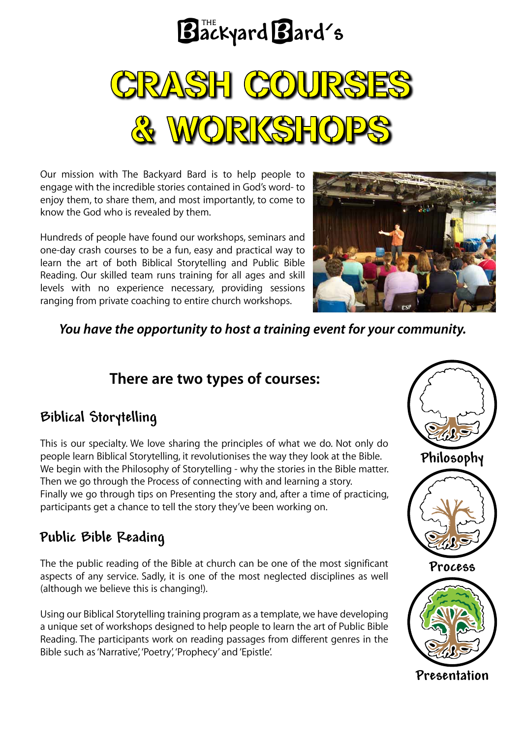

Our mission with The Backyard Bard is to help people to engage with the incredible stories contained in God's word- to enjoy them, to share them, and most importantly, to come to know the God who is revealed by them.

Hundreds of people have found our workshops, seminars and one-day crash courses to be a fun, easy and practical way to learn the art of both Biblical Storytelling and Public Bible Reading. Our skilled team runs training for all ages and skill levels with no experience necessary, providing sessions ranging from private coaching to entire church workshops.



*You have the opportunity to host a training event for your community.*

# **There are two types of courses:**

# **Biblical Storytelling**

This is our specialty. We love sharing the principles of what we do. Not only do people learn Biblical Storytelling, it revolutionises the way they look at the Bible. We begin with the Philosophy of Storytelling - why the stories in the Bible matter. Then we go through the Process of connecting with and learning a story. Finally we go through tips on Presenting the story and, after a time of practicing, participants get a chance to tell the story they've been working on.

# **Public Bible Reading**

The the public reading of the Bible at church can be one of the most significant aspects of any service. Sadly, it is one of the most neglected disciplines as well (although we believe this is changing!).

Using our Biblical Storytelling training program as a template, we have developing a unique set of workshops designed to help people to learn the art of Public Bible Reading. The participants work on reading passages from different genres in the Bible such as 'Narrative', 'Poetry', 'Prophecy' and 'Epistle'.





**Process**



**Presentation**